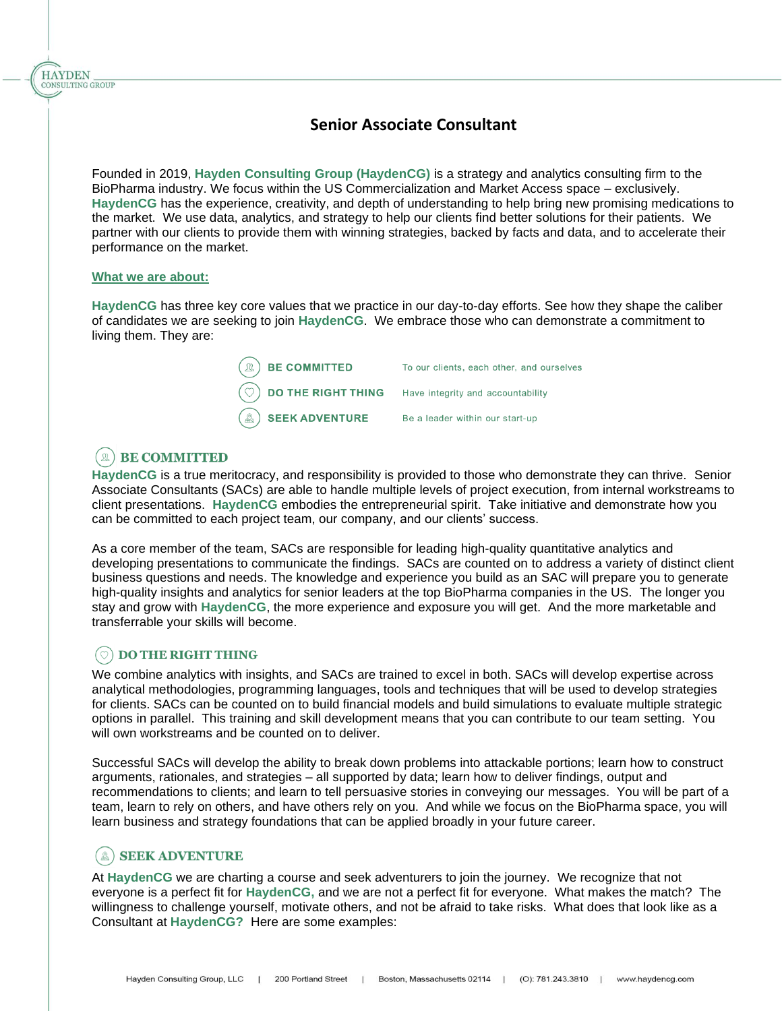# **Senior Associate Consultant**

Founded in 2019, **Hayden Consulting Group (HaydenCG)** is a strategy and analytics consulting firm to the BioPharma industry. We focus within the US Commercialization and Market Access space – exclusively. **HaydenCG** has the experience, creativity, and depth of understanding to help bring new promising medications to the market. We use data, analytics, and strategy to help our clients find better solutions for their patients. We partner with our clients to provide them with winning strategies, backed by facts and data, and to accelerate their performance on the market.

#### **What we are about:**

**HAYDEN** CONSULTING GROUP

> **HaydenCG** has three key core values that we practice in our day-to-day efforts. See how they shape the caliber of candidates we are seeking to join **HaydenCG**. We embrace those who can demonstrate a commitment to living them. They are:

| $\left(\mathbb{R}\right)$ BE COMMITTED                             | To our clients, each other, and ourselves |
|--------------------------------------------------------------------|-------------------------------------------|
| $\circled{)}$ DO THE RIGHT THING Have integrity and accountability |                                           |
| $\mathbb{R}$ SEEK ADVENTURE                                        | Be a leader within our start-up           |

# $(\mathbb{R})$  BE COMMITTED

**HaydenCG** is a true meritocracy, and responsibility is provided to those who demonstrate they can thrive. Senior Associate Consultants (SACs) are able to handle multiple levels of project execution, from internal workstreams to client presentations. **HaydenCG** embodies the entrepreneurial spirit. Take initiative and demonstrate how you can be committed to each project team, our company, and our clients' success.

As a core member of the team, SACs are responsible for leading high-quality quantitative analytics and developing presentations to communicate the findings. SACs are counted on to address a variety of distinct client business questions and needs. The knowledge and experience you build as an SAC will prepare you to generate high-quality insights and analytics for senior leaders at the top BioPharma companies in the US. The longer you stay and grow with **HaydenCG**, the more experience and exposure you will get. And the more marketable and transferrable your skills will become.

## **DO THE RIGHT THING**

We combine analytics with insights, and SACs are trained to excel in both. SACs will develop expertise across analytical methodologies, programming languages, tools and techniques that will be used to develop strategies for clients. SACs can be counted on to build financial models and build simulations to evaluate multiple strategic options in parallel. This training and skill development means that you can contribute to our team setting. You will own workstreams and be counted on to deliver.

Successful SACs will develop the ability to break down problems into attackable portions; learn how to construct arguments, rationales, and strategies – all supported by data; learn how to deliver findings, output and recommendations to clients; and learn to tell persuasive stories in conveying our messages. You will be part of a team, learn to rely on others, and have others rely on you. And while we focus on the BioPharma space, you will learn business and strategy foundations that can be applied broadly in your future career.

## (&) SEEK ADVENTURE

At **HaydenCG** we are charting a course and seek adventurers to join the journey. We recognize that not everyone is a perfect fit for **HaydenCG,** and we are not a perfect fit for everyone. What makes the match? The willingness to challenge yourself, motivate others, and not be afraid to take risks. What does that look like as a Consultant at **HaydenCG?** Here are some examples: